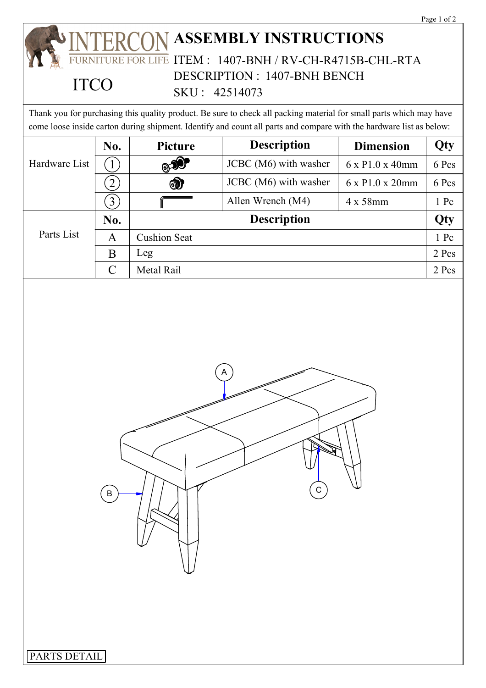## **ASSEMBLY INSTRUCTIONS** ITEM : 1407-BNH / RV-CH-R4715B-CHL-RTA DESCRIPTION : 1407-BNH BENCH SKU : 42514073 **ITCO**

Thank you for purchasing this quality product. Be sure to check all packing material for small parts which may have come loose inside carton during shipment. Identify and count all parts and compare with the hardware list as below:

| Hardware List | No.            | <b>Picture</b>      | <b>Description</b>    | <b>Dimension</b>             | Qty    |
|---------------|----------------|---------------------|-----------------------|------------------------------|--------|
|               | $\perp$ .      | ூ                   | JCBC (M6) with washer | $6 \times P1.0 \times 40$ mm | 6 Pcs  |
|               |                | $\circledcirc$      | JCBC (M6) with washer | 6 x P1.0 x 20mm              | 6 Pcs  |
|               | $\mathfrak{Z}$ |                     | Allen Wrench (M4)     | $4 \times 58$ mm             | $1$ Pc |
| Parts List    | No.            | <b>Description</b>  |                       |                              | Qty    |
|               | A              | <b>Cushion Seat</b> |                       |                              | 1 Pc   |
|               | B              | Leg                 |                       |                              | 2 Pcs  |
|               | $\mathcal{C}$  | Metal Rail          |                       |                              | 2 Pcs  |
|               |                |                     |                       |                              |        |